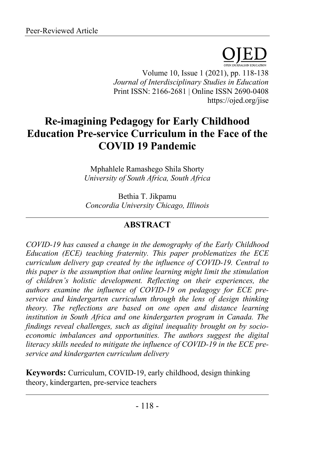

Volume 10, Issue 1 (2021), pp. 118-138 *Journal of Interdisciplinary Studies in Education* Print ISSN: 2166-2681 | Online ISSN 2690-0408 https://ojed.org/jise

# **Re-imagining Pedagogy for Early Childhood Education Pre-service Curriculum in the Face of the COVID 19 Pandemic**

Mphahlele Ramashego Shila Shorty *University of South Africa, South Africa*

Bethia T. Jikpamu *Concordia University Chicago, Illinois*

# **ABSTRACT**

*COVID-19 has caused a change in the demography of the Early Childhood Education (ECE) teaching fraternity. This paper problematizes the ECE curriculum delivery gap created by the influence of COVID-19. Central to this paper is the assumption that online learning might limit the stimulation of children's holistic development. Reflecting on their experiences, the authors examine the influence of COVID-19 on pedagogy for ECE preservice and kindergarten curriculum through the lens of design thinking theory. The reflections are based on one open and distance learning institution in South Africa and one kindergarten program in Canada. The findings reveal challenges, such as digital inequality brought on by socioeconomic imbalances and opportunities. The authors suggest the digital literacy skills needed to mitigate the influence of COVID-19 in the ECE preservice and kindergarten curriculum delivery*

**Keywords:** Curriculum, COVID-19, early childhood, design thinking theory, kindergarten, pre-service teachers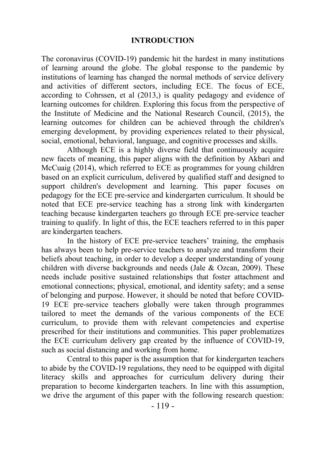#### **INTRODUCTION**

The coronavirus (COVID-19) pandemic hit the hardest in many institutions of learning around the globe. The global response to the pandemic by institutions of learning has changed the normal methods of service delivery and activities of different sectors, including ECE. The focus of ECE, according to Cohrssen, et al (2013,) is quality pedagogy and evidence of learning outcomes for children. Exploring this focus from the perspective of the Institute of Medicine and the National Research Council, (2015), the learning outcomes for children can be achieved through the children's emerging development, by providing experiences related to their physical, social, emotional, behavioral, language, and cognitive processes and skills.

Although ECE is a highly diverse field that continuously acquire new facets of meaning, this paper aligns with the definition by Akbari and McCuaig (2014), which referred to ECE as programmes for young children based on an explicit curriculum, delivered by qualified staff and designed to support children's development and learning. This paper focuses on pedagogy for the ECE pre-service and kindergarten curriculum. It should be noted that ECE pre-service teaching has a strong link with kindergarten teaching because kindergarten teachers go through ECE pre-service teacher training to qualify. In light of this, the ECE teachers referred to in this paper are kindergarten teachers.

In the history of ECE pre-service teachers' training, the emphasis has always been to help pre-service teachers to analyze and transform their beliefs about teaching, in order to develop a deeper understanding of young children with diverse backgrounds and needs (Jale  $& Ozcan, 2009$ ). These needs include positive sustained relationships that foster attachment and emotional connections; physical, emotional, and identity safety; and a sense of belonging and purpose. However, it should be noted that before COVID-19 ECE pre-service teachers globally were taken through programmes tailored to meet the demands of the various components of the ECE curriculum, to provide them with relevant competencies and expertise prescribed for their institutions and communities. This paper problematizes the ECE curriculum delivery gap created by the influence of COVID-19, such as social distancing and working from home.

Central to this paper is the assumption that for kindergarten teachers to abide by the COVID-19 regulations, they need to be equipped with digital literacy skills and approaches for curriculum delivery during their preparation to become kindergarten teachers. In line with this assumption, we drive the argument of this paper with the following research question: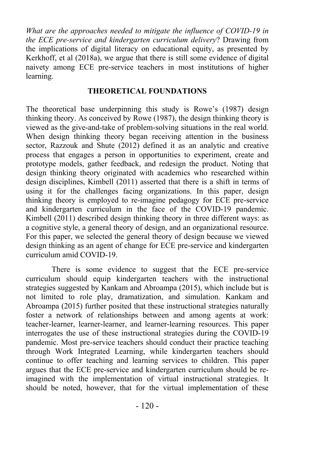*What are the approaches needed to mitigate the influence of COVID-19 in the ECE pre-service and kindergarten curriculum delivery*? Drawing from the implications of digital literacy on educational equity, as presented by Kerkhoff, et al (2018a), we argue that there is still some evidence of digital naivety among ECE pre-service teachers in most institutions of higher learning.

#### **THEORETICAL FOUNDATIONS**

The theoretical base underpinning this study is Rowe's (1987) design thinking theory. As conceived by Rowe (1987), the design thinking theory is viewed as the give-and-take of problem-solving situations in the real world. When design thinking theory began receiving attention in the business sector, Razzouk and Shute (2012) defined it as an analytic and creative process that engages a person in opportunities to experiment, create and prototype models, gather feedback, and redesign the product. Noting that design thinking theory originated with academics who researched within design disciplines, Kimbell (2011) asserted that there is a shift in terms of using it for the challenges facing organizations. In this paper, design thinking theory is employed to re-imagine pedagogy for ECE pre-service and kindergarten curriculum in the face of the COVID-19 pandemic. Kimbell (2011) described design thinking theory in three different ways: as a cognitive style, a general theory of design, and an organizational resource. For this paper, we selected the general theory of design because we viewed design thinking as an agent of change for ECE pre-service and kindergarten curriculum amid COVID-19.

There is some evidence to suggest that the ECE pre-service curriculum should equip kindergarten teachers with the instructional strategies suggested by Kankam and Abroampa (2015), which include but is not limited to role play, dramatization, and simulation. Kankam and Abroampa (2015) further posited that these instructional strategies naturally foster a network of relationships between and among agents at work: teacher-learner, learner-learner, and learner-learning resources. This paper interrogates the use of these instructional strategies during the COVID-19 pandemic. Most pre-service teachers should conduct their practice teaching through Work Integrated Learning, while kindergarten teachers should continue to offer teaching and learning services to children. This paper argues that the ECE pre-service and kindergarten curriculum should be reimagined with the implementation of virtual instructional strategies. It should be noted, however, that for the virtual implementation of these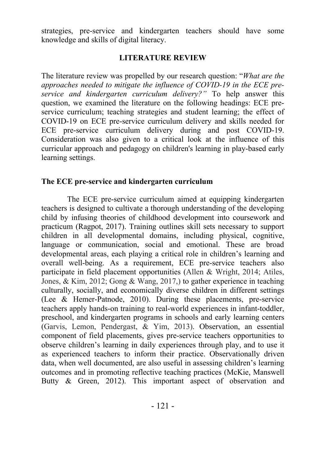strategies, pre-service and kindergarten teachers should have some knowledge and skills of digital literacy.

### **LITERATURE REVIEW**

The literature review was propelled by our research question: "*What are the approaches needed to mitigate the influence of COVID-19 in the ECE preservice and kindergarten curriculum delivery?"* To help answer this question, we examined the literature on the following headings: ECE preservice curriculum; teaching strategies and student learning; the effect of COVID-19 on ECE pre-service curriculum delivery and skills needed for ECE pre-service curriculum delivery during and post COVID-19. Consideration was also given to a critical look at the influence of this curricular approach and pedagogy on children's learning in play-based early learning settings.

#### **The ECE pre-service and kindergarten curriculum**

The ECE pre-service curriculum aimed at equipping kindergarten teachers is designed to cultivate a thorough understanding of the developing child by infusing theories of childhood development into coursework and practicum (Ragpot, 2017). Training outlines skill sets necessary to support children in all developmental domains, including physical, cognitive, language or communication, social and emotional. These are broad developmental areas, each playing a critical role in children's learning and overall well-being. As a requirement, ECE pre-service teachers also participate in field placement opportunities (Allen & Wright, 2014; Atiles, Jones, & Kim, 2012; Gong & Wang, 2017,) to gather experience in teaching culturally, socially, and economically diverse children in different settings (Lee & Hemer-Patnode, 2010). During these placements, pre-service teachers apply hands-on training to real-world experiences in infant-toddler, preschool, and kindergarten programs in schools and early learning centers (Garvis, Lemon, Pendergast, & Yim, 2013). Observation, an essential component of field placements, gives pre-service teachers opportunities to observe children's learning in daily experiences through play, and to use it as experienced teachers to inform their practice. Observationally driven data, when well documented, are also useful in assessing children's learning outcomes and in promoting reflective teaching practices (McKie, Manswell Butty & Green, 2012). This important aspect of observation and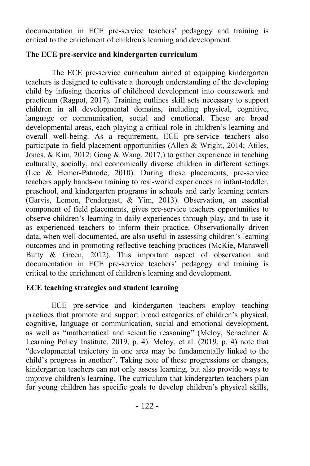documentation in ECE pre-service teachers' pedagogy and training is critical to the enrichment of children's learning and development.

#### **The ECE pre-service and kindergarten curriculum**

The ECE pre-service curriculum aimed at equipping kindergarten teachers is designed to cultivate a thorough understanding of the developing child by infusing theories of childhood development into coursework and practicum (Ragpot, 2017). Training outlines skill sets necessary to support children in all developmental domains, including physical, cognitive, language or communication, social and emotional. These are broad developmental areas, each playing a critical role in children's learning and overall well-being. As a requirement, ECE pre-service teachers also participate in field placement opportunities (Allen & Wright, 2014; Atiles, Jones, & Kim, 2012; Gong & Wang, 2017,) to gather experience in teaching culturally, socially, and economically diverse children in different settings (Lee & Hemer-Patnode, 2010). During these placements, pre-service teachers apply hands-on training to real-world experiences in infant-toddler, preschool, and kindergarten programs in schools and early learning centers (Garvis, Lemon, Pendergast, & Yim, 2013). Observation, an essential component of field placements, gives pre-service teachers opportunities to observe children's learning in daily experiences through play, and to use it as experienced teachers to inform their practice. Observationally driven data, when well documented, are also useful in assessing children's learning outcomes and in promoting reflective teaching practices (McKie, Manswell Butty & Green, 2012). This important aspect of observation and documentation in ECE pre-service teachers' pedagogy and training is critical to the enrichment of children's learning and development.

#### **ECE teaching strategies and student learning**

ECE pre-service and kindergarten teachers employ teaching practices that promote and support broad categories of children's physical, cognitive, language or communication, social and emotional development, as well as "mathematical and scientific reasoning" (Meloy, Schachner & Learning Policy Institute, 2019, p. 4). Meloy, et al. (2019, p. 4) note that "developmental trajectory in one area may be fundamentally linked to the child's progress in another". Taking note of these progressions or changes, kindergarten teachers can not only assess learning, but also provide ways to improve children's learning. The curriculum that kindergarten teachers plan for young children has specific goals to develop children's physical skills,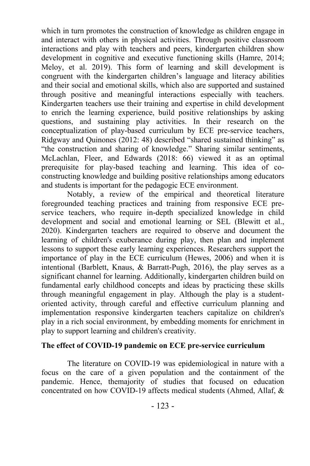which in turn promotes the construction of knowledge as children engage in and interact with others in physical activities. Through positive classroom interactions and play with teachers and peers, kindergarten children show development in cognitive and executive functioning skills (Hamre, 2014; Meloy, et al. 2019). This form of learning and skill development is congruent with the kindergarten children's language and literacy abilities and their social and emotional skills, which also are supported and sustained through positive and meaningful interactions especially with teachers. Kindergarten teachers use their training and expertise in child development to enrich the learning experience, build positive relationships by asking questions, and sustaining play activities. In their research on the conceptualization of play-based curriculum by ECE pre-service teachers, Ridgway and Quinones (2012: 48) described "shared sustained thinking" as "the construction and sharing of knowledge." Sharing similar sentiments, McLachlan, Fleer, and Edwards (2018: 66) viewed it as an optimal prerequisite for play-based teaching and learning. This idea of coconstructing knowledge and building positive relationships among educators and students is important for the pedagogic ECE environment.

Notably, a review of the empirical and theoretical literature foregrounded teaching practices and training from responsive ECE preservice teachers, who require in-depth specialized knowledge in child development and social and emotional learning or SEL (Blewitt et al., 2020). Kindergarten teachers are required to observe and document the learning of children's exuberance during play, then plan and implement lessons to support these early learning experiences. Researchers support the importance of play in the ECE curriculum (Hewes, 2006) and when it is intentional (Barblett, Knaus, & Barratt-Pugh, 2016), the play serves as a significant channel for learning. Additionally, kindergarten children build on fundamental early childhood concepts and ideas by practicing these skills through meaningful engagement in play. Although the play is a studentoriented activity, through careful and effective curriculum planning and implementation responsive kindergarten teachers capitalize on children's play in a rich social environment, by embedding moments for enrichment in play to support learning and children's creativity.

#### **The effect of COVID-19 pandemic on ECE pre-service curriculum**

The literature on COVID-19 was epidemiological in nature with a focus on the care of a given population and the containment of the pandemic. Hence, themajority of studies that focused on education concentrated on how COVID-19 affects medical students (Ahmed, Allaf, &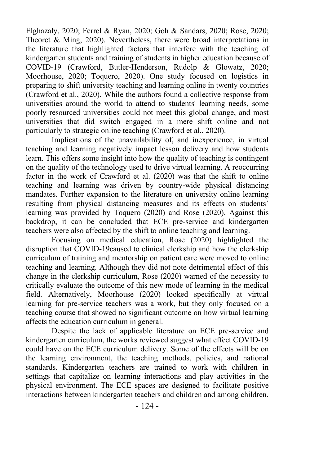Elghazaly, 2020; Ferrel & Ryan, 2020; Goh & Sandars, 2020; Rose, 2020; Theoret & Ming, 2020). Nevertheless, there were broad interpretations in the literature that highlighted factors that interfere with the teaching of kindergarten students and training of students in higher education because of COVID-19 (Crawford, Butler-Henderson, Rudolp & Glowatz, 2020; Moorhouse, 2020; Toquero, 2020). One study focused on logistics in preparing to shift university teaching and learning online in twenty countries (Crawford et al., 2020). While the authors found a collective response from universities around the world to attend to students' learning needs, some poorly resourced universities could not meet this global change, and most universities that did switch engaged in a mere shift online and not particularly to strategic online teaching (Crawford et al., 2020).

Implications of the unavailability of, and inexperience, in virtual teaching and learning negatively impact lesson delivery and how students learn. This offers some insight into how the quality of teaching is contingent on the quality of the technology used to drive virtual learning. A reoccurring factor in the work of Crawford et al. (2020) was that the shift to online teaching and learning was driven by country-wide physical distancing mandates. Further expansion to the literature on university online learning resulting from physical distancing measures and its effects on students' learning was provided by Toquero (2020) and Rose (2020). Against this backdrop, it can be concluded that ECE pre-service and kindergarten teachers were also affected by the shift to online teaching and learning.

Focusing on medical education, Rose (2020) highlighted the disruption that COVID-19caused to clinical clerkship and how the clerkship curriculum of training and mentorship on patient care were moved to online teaching and learning. Although they did not note detrimental effect of this change in the clerkship curriculum, Rose (2020) warned of the necessity to critically evaluate the outcome of this new mode of learning in the medical field. Alternatively, Moorhouse (2020) looked specifically at virtual learning for pre-service teachers was a work, but they only focused on a teaching course that showed no significant outcome on how virtual learning affects the education curriculum in general.

Despite the lack of applicable literature on ECE pre-service and kindergarten curriculum, the works reviewed suggest what effect COVID-19 could have on the ECE curriculum delivery. Some of the effects will be on the learning environment, the teaching methods, policies, and national standards. Kindergarten teachers are trained to work with children in settings that capitalize on learning interactions and play activities in the physical environment. The ECE spaces are designed to facilitate positive interactions between kindergarten teachers and children and among children.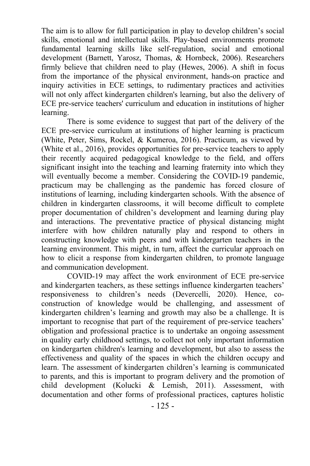The aim is to allow for full participation in play to develop children's social skills, emotional and intellectual skills. Play-based environments promote fundamental learning skills like self-regulation, social and emotional development (Barnett, Yarosz, Thomas, & Hornbeck, 2006). Researchers firmly believe that children need to play (Hewes, 2006). A shift in focus from the importance of the physical environment, hands-on practice and inquiry activities in ECE settings, to rudimentary practices and activities will not only affect kindergarten children's learning, but also the delivery of ECE pre-service teachers' curriculum and education in institutions of higher learning.

There is some evidence to suggest that part of the delivery of the ECE pre-service curriculum at institutions of higher learning is practicum (White, Peter, Sims, Rockel, & Kumeroa, 2016). Practicum, as viewed by (White et al., 2016), provides opportunities for pre-service teachers to apply their recently acquired pedagogical knowledge to the field, and offers significant insight into the teaching and learning fraternity into which they will eventually become a member. Considering the COVID-19 pandemic, practicum may be challenging as the pandemic has forced closure of institutions of learning, including kindergarten schools. With the absence of children in kindergarten classrooms, it will become difficult to complete proper documentation of children's development and learning during play and interactions. The preventative practice of physical distancing might interfere with how children naturally play and respond to others in constructing knowledge with peers and with kindergarten teachers in the learning environment. This might, in turn, affect the curricular approach on how to elicit a response from kindergarten children, to promote language and communication development.

COVID-19 may affect the work environment of ECE pre-service and kindergarten teachers, as these settings influence kindergarten teachers' responsiveness to children's needs (Devercelli, 2020). Hence, coconstruction of knowledge would be challenging, and assessment of kindergarten children's learning and growth may also be a challenge. It is important to recognise that part of the requirement of pre-service teachers' obligation and professional practice is to undertake an ongoing assessment in quality early childhood settings, to collect not only important information on kindergarten children's learning and development, but also to assess the effectiveness and quality of the spaces in which the children occupy and learn. The assessment of kindergarten children's learning is communicated to parents, and this is important to program delivery and the promotion of child development (Kolucki & Lemish, 2011). Assessment, with documentation and other forms of professional practices, captures holistic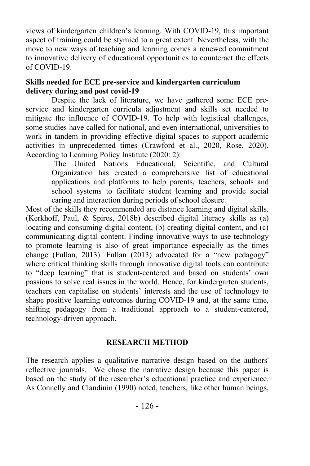views of kindergarten children's learning. With COVID-19, this important aspect of training could be stymied to a great extent. Nevertheless, with the move to new ways of teaching and learning comes a renewed commitment to innovative delivery of educational opportunities to counteract the effects of COVID-19.

#### **Skills needed for ECE pre-service and kindergarten curriculum delivery during and post covid-19**

Despite the lack of literature, we have gathered some ECE preservice and kindergarten curricula adjustment and skills set needed to mitigate the influence of COVID-19. To help with logistical challenges, some studies have called for national, and even international, universities to work in tandem in providing effective digital spaces to support academic activities in unprecedented times (Crawford et al., 2020, Rose, 2020). According to Learning Policy Institute (2020: 2):

The United Nations Educational, Scientific, and Cultural Organization has created a comprehensive list of educational applications and platforms to help parents, teachers, schools and school systems to facilitate student learning and provide social caring and interaction during periods of school closure.

Most of the skills they recommended are distance learning and digital skills. (Kerkhoff, Paul, & Spires, 2018b) described digital literacy skills as (a) locating and consuming digital content, (b) creating digital content, and (c) communicating digital content. Finding innovative ways to use technology to promote learning is also of great importance especially as the times change (Fullan, 2013). Fullan (2013) advocated for a "new pedagogy" where critical thinking skills through innovative digital tools can contribute to "deep learning" that is student-centered and based on students' own passions to solve real issues in the world. Hence, for kindergarten students, teachers can capitalise on students' interests and the use of technology to shape positive learning outcomes during COVID-19 and, at the same time, shifting pedagogy from a traditional approach to a student-centered, technology-driven approach.

# **RESEARCH METHOD**

The research applies a qualitative narrative design based on the authors' reflective journals. We chose the narrative design because this paper is based on the study of the researcher's educational practice and experience. As Connelly and Clandinin (1990) noted, teachers, like other human beings,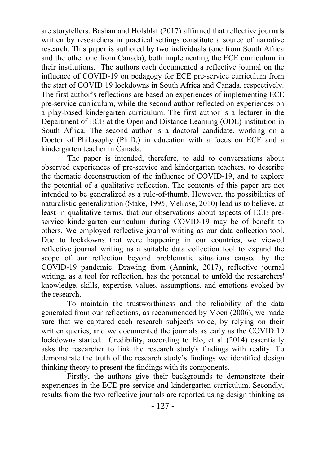are storytellers. Bashan and Holsblat (2017) affirmed that reflective journals written by researchers in practical settings constitute a source of narrative research. This paper is authored by two individuals (one from South Africa and the other one from Canada), both implementing the ECE curriculum in their institutions. The authors each documented a reflective journal on the influence of COVID-19 on pedagogy for ECE pre-service curriculum from the start of COVID 19 lockdowns in South Africa and Canada, respectively. The first author's reflections are based on experiences of implementing ECE pre-service curriculum, while the second author reflected on experiences on a play-based kindergarten curriculum. The first author is a lecturer in the Department of ECE at the Open and Distance Learning (ODL) institution in South Africa. The second author is a doctoral candidate, working on a Doctor of Philosophy (Ph.D.) in education with a focus on ECE and a kindergarten teacher in Canada.

The paper is intended, therefore, to add to conversations about observed experiences of pre-service and kindergarten teachers, to describe the thematic deconstruction of the influence of COVID-19, and to explore the potential of a qualitative reflection. The contents of this paper are not intended to be generalized as a rule-of-thumb. However, the possibilities of naturalistic generalization (Stake, 1995; Melrose, 2010) lead us to believe, at least in qualitative terms, that our observations about aspects of ECE preservice kindergarten curriculum during COVID-19 may be of benefit to others. We employed reflective journal writing as our data collection tool. Due to lockdowns that were happening in our countries, we viewed reflective journal writing as a suitable data collection tool to expand the scope of our reflection beyond problematic situations caused by the COVID-19 pandemic. Drawing from (Annink, 2017), reflective journal writing, as a tool for reflection, has the potential to unfold the researchers' knowledge, skills, expertise, values, assumptions, and emotions evoked by the research.

To maintain the trustworthiness and the reliability of the data generated from our reflections, as recommended by Moen (2006), we made sure that we captured each research subject's voice, by relying on their written queries, and we documented the journals as early as the COVID 19 lockdowns started. Credibility, according to Elo, et al (2014) essentially asks the researcher to link the research study's findings with reality. To demonstrate the truth of the research study's findings we identified design thinking theory to present the findings with its components.

Firstly, the authors give their backgrounds to demonstrate their experiences in the ECE pre-service and kindergarten curriculum. Secondly, results from the two reflective journals are reported using design thinking as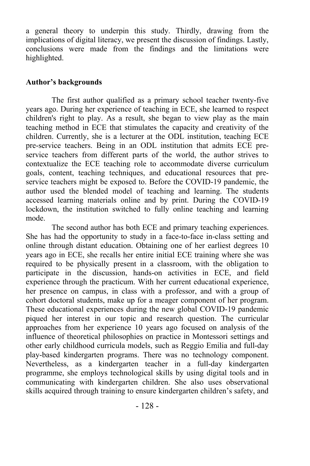a general theory to underpin this study. Thirdly, drawing from the implications of digital literacy, we present the discussion of findings. Lastly, conclusions were made from the findings and the limitations were highlighted.

#### **Author's backgrounds**

The first author qualified as a primary school teacher twenty-five years ago. During her experience of teaching in ECE, she learned to respect children's right to play. As a result, she began to view play as the main teaching method in ECE that stimulates the capacity and creativity of the children. Currently, she is a lecturer at the ODL institution, teaching ECE pre-service teachers. Being in an ODL institution that admits ECE preservice teachers from different parts of the world, the author strives to contextualize the ECE teaching role to accommodate diverse curriculum goals, content, teaching techniques, and educational resources that preservice teachers might be exposed to. Before the COVID-19 pandemic, the author used the blended model of teaching and learning. The students accessed learning materials online and by print. During the COVID-19 lockdown, the institution switched to fully online teaching and learning mode.

The second author has both ECE and primary teaching experiences. She has had the opportunity to study in a face-to-face in-class setting and online through distant education. Obtaining one of her earliest degrees 10 years ago in ECE, she recalls her entire initial ECE training where she was required to be physically present in a classroom, with the obligation to participate in the discussion, hands-on activities in ECE, and field experience through the practicum. With her current educational experience, her presence on campus, in class with a professor, and with a group of cohort doctoral students, make up for a meager component of her program. These educational experiences during the new global COVID-19 pandemic piqued her interest in our topic and research question. The curricular approaches from her experience 10 years ago focused on analysis of the influence of theoretical philosophies on practice in Montessori settings and other early childhood curricula models, such as Reggio Emilia and full-day play-based kindergarten programs. There was no technology component. Nevertheless, as a kindergarten teacher in a full-day kindergarten programme, she employs technological skills by using digital tools and in communicating with kindergarten children. She also uses observational skills acquired through training to ensure kindergarten children's safety, and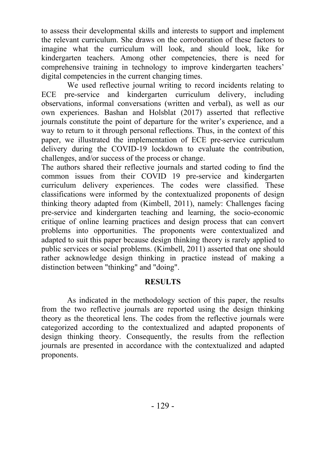to assess their developmental skills and interests to support and implement the relevant curriculum. She draws on the corroboration of these factors to imagine what the curriculum will look, and should look, like for kindergarten teachers. Among other competencies, there is need for comprehensive training in technology to improve kindergarten teachers' digital competencies in the current changing times.

We used reflective journal writing to record incidents relating to ECE pre-service and kindergarten curriculum delivery, including observations, informal conversations (written and verbal), as well as our own experiences. Bashan and Holsblat (2017) asserted that reflective journals constitute the point of departure for the writer's experience, and a way to return to it through personal reflections. Thus, in the context of this paper, we illustrated the implementation of ECE pre-service curriculum delivery during the COVID-19 lockdown to evaluate the contribution, challenges, and/or success of the process or change.

The authors shared their reflective journals and started coding to find the common issues from their COVID 19 pre-service and kindergarten curriculum delivery experiences. The codes were classified. These classifications were informed by the contextualized proponents of design thinking theory adapted from (Kimbell, 2011), namely: Challenges facing pre-service and kindergarten teaching and learning, the socio-economic critique of online learning practices and design process that can convert problems into opportunities. The proponents were contextualized and adapted to suit this paper because design thinking theory is rarely applied to public services or social problems. (Kimbell, 2011) asserted that one should rather acknowledge design thinking in practice instead of making a distinction between "thinking" and "doing".

#### **RESULTS**

As indicated in the methodology section of this paper, the results from the two reflective journals are reported using the design thinking theory as the theoretical lens. The codes from the reflective journals were categorized according to the contextualized and adapted proponents of design thinking theory. Consequently, the results from the reflection journals are presented in accordance with the contextualized and adapted proponents.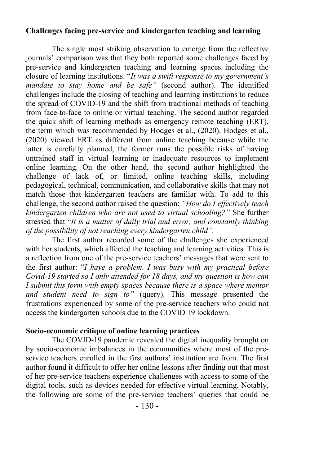#### **Challenges facing pre-service and kindergarten teaching and learning**

The single most striking observation to emerge from the reflective journals' comparison was that they both reported some challenges faced by pre-service and kindergarten teaching and learning spaces including the closure of learning institutions. "*It was a swift response to my government's mandate to stay home and be safe"* (second author). The identified challenges include the closing of teaching and learning institutions to reduce the spread of COVID-19 and the shift from traditional methods of teaching from face-to-face to online or virtual teaching. The second author regarded the quick shift of learning methods as emergency remote teaching (ERT), the term which was recommended by Hodges et al., (2020). Hodges et al., (2020) viewed ERT as different from online teaching because while the latter is carefully planned, the former runs the possible risks of having untrained staff in virtual learning or inadequate resources to implement online learning. On the other hand, the second author highlighted the challenge of lack of, or limited, online teaching skills, including pedagogical, technical, communication, and collaborative skills that may not match those that kindergarten teachers are familiar with. To add to this challenge, the second author raised the question: *"How do I effectively teach kindergarten children who are not used to virtual schooling?"* She further stressed that "*It is a matter of daily trial and error, and constantly thinking of the possibility of not reaching every kindergarten child".*

The first author recorded some of the challenges she experienced with her students, which affected the teaching and learning activities. This is a reflection from one of the pre-service teachers' messages that were sent to the first author: "*I have a problem. I was busy with my practical before Covid-19 started so I only attended for 18 days, and my question is how can I* submit this form with empty spaces because there is a space where mentor *and student need to sign to"* (query). This message presented the frustrations experienced by some of the pre-service teachers who could not access the kindergarten schools due to the COVID 19 lockdown.

# **Socio-economic critique of online learning practices**

The COVID-19 pandemic revealed the digital inequality brought on by socio-economic imbalances in the communities where most of the preservice teachers enrolled in the first authors' institution are from. The first author found it difficult to offer her online lessons after finding out that most of her pre-service teachers experience challenges with access to some of the digital tools, such as devices needed for effective virtual learning. Notably, the following are some of the pre-service teachers' queries that could be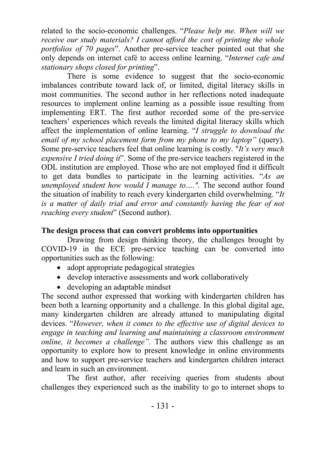related to the socio-economic challenges. "*Please help me. When will we receive our study materials? I cannot afford the cost of printing the whole portfolios of 70 pages*". Another pre-service teacher pointed out that she only depends on internet café to access online learning. "*Internet cafe and stationary shops closed for printing*".

There is some evidence to suggest that the socio-economic imbalances contribute toward lack of, or limited, digital literacy skills in most communities. The second author in her reflections noted inadequate resources to implement online learning as a possible issue resulting from implementing ERT. The first author recorded some of the pre-service teachers' experiences which reveals the limited digital literacy skills which affect the implementation of online learning. "*I struggle to download the email of my school placement form from my phone to my laptop"* (query). Some pre-service teachers feel that online learning is costly. "*It's very much expensive I tried doing it*". Some of the pre-service teachers registered in the ODL institution are employed. Those who are not employed find it difficult to get data bundles to participate in the learning activities. "*As an unemployed student how would I manage to....".* The second author found the situation of inability to reach every kindergarten child overwhelming. "*It*  is a matter of daily trial and error and constantly having the fear of not *reaching every student*" (Second author).

### **The design process that can convert problems into opportunities**

Drawing from design thinking theory, the challenges brought by COVID-19 in the ECE pre-service teaching can be converted into opportunities such as the following:

- adopt appropriate pedagogical strategies
- develop interactive assessments and work collaboratively
- developing an adaptable mindset

The second author expressed that working with kindergarten children has been both a learning opportunity and a challenge. In this global digital age, many kindergarten children are already attuned to manipulating digital devices. "*However, when it comes to the effective use of digital devices to engage in teaching and learning and maintaining a classroom environment online, it becomes a challenge".* The authors view this challenge as an opportunity to explore how to present knowledge in online environments and how to support pre-service teachers and kindergarten children interact and learn in such an environment.

The first author, after receiving queries from students about challenges they experienced such as the inability to go to internet shops to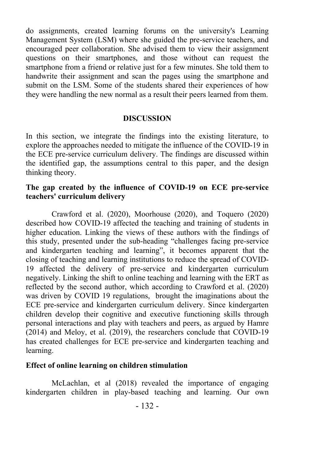do assignments, created learning forums on the university's Learning Management System (LSM) where she guided the pre-service teachers, and encouraged peer collaboration. She advised them to view their assignment questions on their smartphones, and those without can request the smartphone from a friend or relative just for a few minutes. She told them to handwrite their assignment and scan the pages using the smartphone and submit on the LSM. Some of the students shared their experiences of how they were handling the new normal as a result their peers learned from them.

#### **DISCUSSION**

In this section, we integrate the findings into the existing literature, to explore the approaches needed to mitigate the influence of the COVID-19 in the ECE pre-service curriculum delivery. The findings are discussed within the identified gap, the assumptions central to this paper, and the design thinking theory.

#### **The gap created by the influence of COVID-19 on ECE pre-service teachers' curriculum delivery**

Crawford et al. (2020), Moorhouse (2020), and Toquero (2020) described how COVID-19 affected the teaching and training of students in higher education. Linking the views of these authors with the findings of this study, presented under the sub-heading "challenges facing pre-service and kindergarten teaching and learning", it becomes apparent that the closing of teaching and learning institutions to reduce the spread of COVID-19 affected the delivery of pre-service and kindergarten curriculum negatively. Linking the shift to online teaching and learning with the ERT as reflected by the second author, which according to Crawford et al. (2020) was driven by COVID 19 regulations, brought the imaginations about the ECE pre-service and kindergarten curriculum delivery. Since kindergarten children develop their cognitive and executive functioning skills through personal interactions and play with teachers and peers, as argued by Hamre (2014) and Meloy, et al. (2019), the researchers conclude that COVID-19 has created challenges for ECE pre-service and kindergarten teaching and learning.

#### **Effect of online learning on children stimulation**

McLachlan, et al (2018) revealed the importance of engaging kindergarten children in play-based teaching and learning. Our own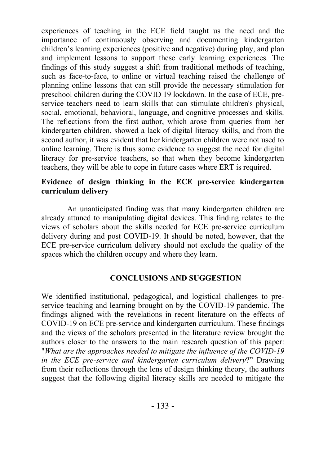experiences of teaching in the ECE field taught us the need and the importance of continuously observing and documenting kindergarten children's learning experiences (positive and negative) during play, and plan and implement lessons to support these early learning experiences. The findings of this study suggest a shift from traditional methods of teaching, such as face-to-face, to online or virtual teaching raised the challenge of planning online lessons that can still provide the necessary stimulation for preschool children during the COVID 19 lockdown. In the case of ECE, preservice teachers need to learn skills that can stimulate children's physical, social, emotional, behavioral, language, and cognitive processes and skills. The reflections from the first author, which arose from queries from her kindergarten children, showed a lack of digital literacy skills, and from the second author, it was evident that her kindergarten children were not used to online learning. There is thus some evidence to suggest the need for digital literacy for pre-service teachers, so that when they become kindergarten teachers, they will be able to cope in future cases where ERT is required.

#### **Evidence of design thinking in the ECE pre-service kindergarten curriculum delivery**

An unanticipated finding was that many kindergarten children are already attuned to manipulating digital devices. This finding relates to the views of scholars about the skills needed for ECE pre-service curriculum delivery during and post COVID-19. It should be noted, however, that the ECE pre-service curriculum delivery should not exclude the quality of the spaces which the children occupy and where they learn.

#### **CONCLUSIONS AND SUGGESTION**

We identified institutional, pedagogical, and logistical challenges to preservice teaching and learning brought on by the COVID-19 pandemic. The findings aligned with the revelations in recent literature on the effects of COVID-19 on ECE pre-service and kindergarten curriculum. These findings and the views of the scholars presented in the literature review brought the authors closer to the answers to the main research question of this paper: "*What are the approaches needed to mitigate the influence of the COVID-19 in the ECE pre-service and kindergarten curriculum delivery*?" Drawing from their reflections through the lens of design thinking theory, the authors suggest that the following digital literacy skills are needed to mitigate the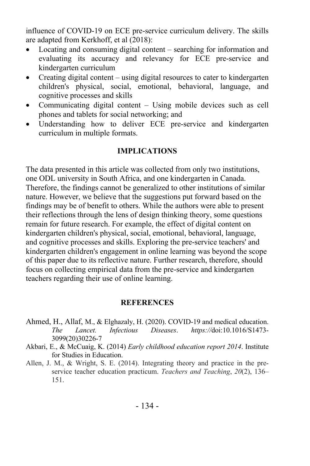influence of COVID-19 on ECE pre-service curriculum delivery. The skills are adapted from Kerkhoff, et al (2018):

- Locating and consuming digital content searching for information and evaluating its accuracy and relevancy for ECE pre-service and kindergarten curriculum
- Creating digital content using digital resources to cater to kindergarten children's physical, social, emotional, behavioral, language, and cognitive processes and skills
- Communicating digital content Using mobile devices such as cell phones and tablets for social networking; and
- Understanding how to deliver ECE pre-service and kindergarten curriculum in multiple formats.

#### **IMPLICATIONS**

The data presented in this article was collected from only two institutions, one ODL university in South Africa, and one kindergarten in Canada. Therefore, the findings cannot be generalized to other institutions of similar nature. However, we believe that the suggestions put forward based on the findings may be of benefit to others. While the authors were able to present their reflections through the lens of design thinking theory, some questions remain for future research. For example, the effect of digital content on kindergarten children's physical, social, emotional, behavioral, language, and cognitive processes and skills. Exploring the pre-service teachers' and kindergarten children's engagement in online learning was beyond the scope of this paper due to its reflective nature. Further research, therefore, should focus on collecting empirical data from the pre-service and kindergarten teachers regarding their use of online learning.

#### **REFERENCES**

- Ahmed, H., Allaf, M., & Elghazaly, H. (2020). COVID-19 and medical education. *The Lancet. Infectious Diseases*. *https://*doi:10.1016/S1473- 3099(20)30226-7
- Akbari, E., & McCuaig, K. (2014) *Early childhood education report 2014*. Institute for Studies in Education.
- Allen, J. M., & Wright, S. E. (2014). Integrating theory and practice in the preservice teacher education practicum. *Teachers and Teaching*, *20*(2), 136– 151.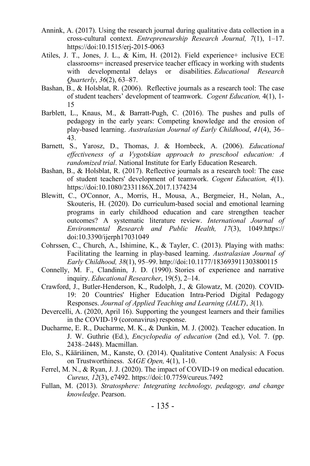- Annink, A. (2017). Using the research journal during qualitative data collection in a cross-cultural context. *Entrepreneurship Research Journal, 7*(1), 1–17. https://doi:10.1515/erj-2015-0063
- Atiles, J. T., Jones, J. L., & Kim, H. (2012). Field experience+ inclusive ECE classrooms= increased preservice teacher efficacy in working with students with developmental delays or disabilities. *Educational Research Quarterly*, *36*(2), 63–87.
- Bashan, B., & Holsblat, R. (2006). Reflective journals as a research tool: The case of student teachers' development of teamwork. *Cogent Education,* 4(1), 1- 15
- Barblett, L., Knaus, M., & Barratt-Pugh, C. (2016). The pushes and pulls of pedagogy in the early years: Competing knowledge and the erosion of play-based learning. *Australasian Journal of Early Childhood*, *41*(4), 36– 43.
- Barnett, S., Yarosz, D., Thomas, J. & Hornbeck, A. (2006). *Educational effectiveness of a Vygotskian approach to preschool education: A randomized trial*. National Institute for Early Education Research.
- Bashan, B., & Holsblat, R. (2017). Reflective journals as a research tool: The case of student teachers' development of teamwork. *Cogent Education, 4*(1). https://doi:10.1080/2331186X.2017.1374234
- Blewitt, C., O'Connor, A., Morris, H., Mousa, A., Bergmeier, H., Nolan, A., Skouteris, H. (2020). Do curriculum-based social and emotional learning programs in early childhood education and care strengthen teacher outcomes? A systematic literature review. *International Journal of Environmental Research and Public Health, 17*(3), 1049.https:// doi:10.3390/ijerph17031049
- Cohrssen, C., Church, A., Ishimine, K., & Tayler, C. (2013). Playing with maths: Facilitating the learning in play-based learning. *Australasian Journal of Early Childhood, 38*(1), 95–99. http://doi:10.1177/183693911303800115
- Connelly, M. F., Clandinin, J. D. (1990). Stories of experience and narrative inquiry. *Educational Researcher*, 19(5), 2–14.
- Crawford, J., Butler-Henderson, K., Rudolph, J., & Glowatz, M. (2020). COVID-19: 20 Countries' Higher Education Intra-Period Digital Pedagogy Responses. *Journal of Applied Teaching and Learning (JALT)*, *3*(1).
- Devercelli, A. (2020, April 16). Supporting the youngest learners and their families in the COVID-19 (coronavirus) response.
- Ducharme, E. R., Ducharme, M. K., & Dunkin, M. J. (2002). Teacher education. In J. W. Guthrie (Ed.), *Encyclopedia of education* (2nd ed.), Vol. 7. (pp. 2438–2448). Macmillan.
- Elo, S., Kääriäinen, M., Kanste, O. (2014). Qualitative Content Analysis: A Focus on Trustworthiness. *SAGE Open,* 4(1), 1-10.
- Ferrel, M. N., & Ryan, J. J. (2020). The impact of COVID-19 on medical education. *Cureus, 12*(3), e7492. https://doi:10.7759/cureus.7492
- Fullan, M. (2013). *Stratosphere: Integrating technology, pedagogy, and change knowledge*. Pearson.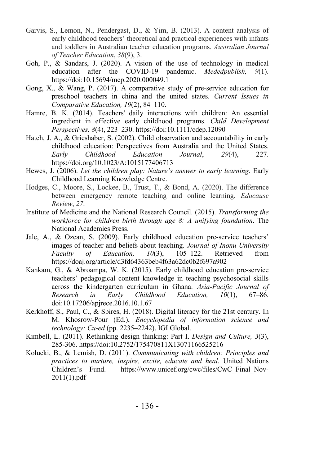- Garvis, S., Lemon, N., Pendergast, D., & Yim, B. (2013). A content analysis of early childhood teachers' theoretical and practical experiences with infants and toddlers in Australian teacher education programs. *Australian Journal of Teacher Education*, *38*(9), 3.
- Goh, P., & Sandars, J. (2020). A vision of the use of technology in medical education after the COVID-19 pandemic. *Mededpublish, 9*(1). https://doi:10.15694/mep.2020.000049.1
- Gong, X., & Wang, P. (2017). A comparative study of pre-service education for preschool teachers in china and the united states. *Current Issues in Comparative Education, 19*(2), 84–110.
- Hamre, B. K. (2014). Teachers' daily interactions with children: An essential ingredient in effective early childhood programs. *Child Development Perspectives, 8*(4), 223–230. https://doi:10.1111/cdep.12090
- Hatch, J. A., & Grieshaber, S. (2002). Child observation and accountability in early childhood education: Perspectives from Australia and the United States. *Early Childhood Education Journal*, *29*(4), 227. https://doi.org/10.1023/A:1015177406713
- Hewes, J. (2006). *Let the children play: Nature's answer to early learning*. Early Childhood Learning Knowledge Centre.
- Hodges, C., Moore, S., Lockee, B., Trust, T., & Bond, A. (2020). The difference between emergency remote teaching and online learning. *Educause Review*, *27*.
- Institute of Medicine and the National Research Council. (2015). *Transforming the workforce for children birth through age 8: A unifying foundation*. The National Academies Press.
- Jale, A., & Ozcan, S. (2009). Early childhood education pre-service teachers' images of teacher and beliefs about teaching. *Journal of Inonu University Faculty of Education, 10*(3), 105–122. Retrieved from https://doaj.org/article/d3fd64363beb4f63a62dc0b2f697a902
- Kankam, G., & Abroampa, W. K. (2015). Early childhood education pre-service teachers' pedagogical content knowledge in teaching psychosocial skills across the kindergarten curriculum in Ghana. *Asia-Pacific Journal of Research in Early Childhood Education, 10*(1), 67–86. doi:10.17206/apjrece.2016.10.1.67
- Kerkhoff, S., Paul, C., & Spires, H. (2018). Digital literacy for the 21st century. In M. Khosrow-Pour (Ed.), *Encyclopedia of information science and technology: Cu-ed* (pp. 2235–2242). IGI Global.
- Kimbell, L. (2011). Rethinking design thinking: Part I. *Design and Culture, 3*(3), 285-306. https://doi:10.2752/175470811X13071166525216
- Kolucki, B., & Lemish, D. (2011). *Communicating with children: Principles and practices to nurture, inspire, excite, educate and heal*. United Nations Children's Fund. https://www.unicef.org/cwc/files/CwC\_Final\_Nov-2011(1).pdf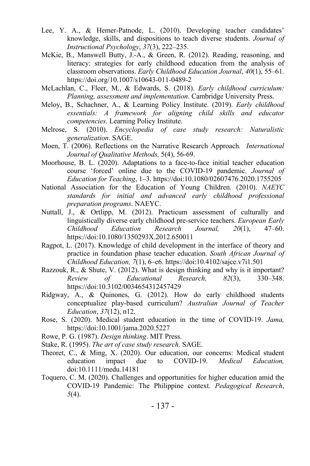- Lee, Y. A., & Hemer-Patnode, L. (2010). Developing teacher candidates' knowledge, skills, and dispositions to teach diverse students. *Journal of Instructional Psychology*, *37*(3), 222–235.
- McKie, B., Manswell Butty, J.-A., & Green, R. (2012). Reading, reasoning, and literacy: strategies for early childhood education from the analysis of classroom observations. *Early Childhood Education Journal*, *40*(1), 55–61. https://doi.org/10.1007/s10643-011-0489-2
- McLachlan, C., Fleer, M., & Edwards, S. (2018). *Early childhood curriculum: Planning, assessment and implementation*. Cambridge University Press.
- Meloy, B., Schachner, A., & Learning Policy Institute. (2019). *Early childhood essentials: A framework for aligning child skills and educator competencies*. Learning Policy Institute.
- Melrose, S. (2010). *Encyclopedia of case study research: Naturalistic generalization*. SAGE.
- Moen, T. (2006). Reflections on the Narrative Research Approach*. International Journal of Qualitative Methods,* 5(4), 56-69.
- Moorhouse, B. L. (2020). Adaptations to a face-to-face initial teacher education course 'forced' online due to the COVID-19 pandemic. *Journal of Education for Teaching*, 1–3. https://doi:10.1080/02607476.2020.1755205
- National Association for the Education of Young Children. (2010). *NAEYC standards for initial and advanced early childhood professional preparation programs*. NAEYC.
- Nuttall, J., & Ortlipp, M. (2012). Practicum assessment of culturally and linguistically diverse early childhood pre-service teachers. *European Early Childhood Education Research Journal, 20*(1), 47–60. https://doi:10.1080/1350293X.2012.650011
- Ragpot, L. (2017). Knowledge of child development in the interface of theory and practice in foundation phase teacher education. *South African Journal of Childhood Education, 7*(1), 6–e6. https://doi:10.4102/sajce.v7i1.501
- Razzouk, R., & Shute, V. (2012). What is design thinking and why is it important? *Review of Educational Research, 82*(3), 330–348. https://doi:10.3102/0034654312457429
- Ridgway, A., & Quinones, G. (2012). How do early childhood students conceptualize play-based curriculum? *Australian Journal of Teacher Education*, *37*(12), n12.
- Rose, S. (2020). Medical student education in the time of COVID-19. *Jama,*  https://doi:10.1001/jama.2020.5227
- Rowe, P. G. (1987). *Design thinking*. MIT Press.
- Stake, R. (1995). *The art of case study research*. SAGE.
- Theoret, C., & Ming, X. (2020). Our education, our concerns: Medical student education impact due to COVID-19. *Medical Education,*  doi:10.1111/medu.14181
- Toquero, C. M. (2020). Challenges and opportunities for higher education amid the COVID-19 Pandemic: The Philippine context. *Pedagogical Research*, *5*(4).